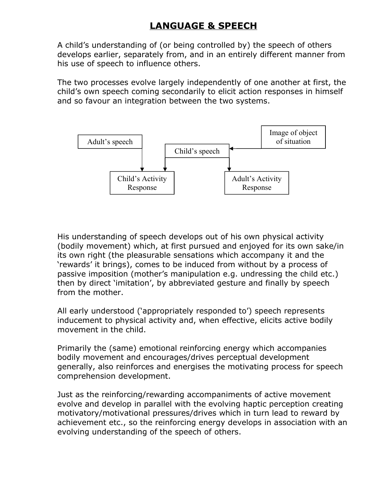A child's understanding of (or being controlled by) the speech of others develops earlier, separately from, and in an entirely different manner from his use of speech to influence others.

The two processes evolve largely independently of one another at first, the child's own speech coming secondarily to elicit action responses in himself and so favour an integration between the two systems.



His understanding of speech develops out of his own physical activity (bodily movement) which, at first pursued and enjoyed for its own sake/in its own right (the pleasurable sensations which accompany it and the 'rewards' it brings), comes to be induced from without by a process of passive imposition (mother's manipulation e.g. undressing the child etc.) then by direct 'imitation', by abbreviated gesture and finally by speech from the mother.

All early understood ('appropriately responded to') speech represents inducement to physical activity and, when effective, elicits active bodily movement in the child.

Primarily the (same) emotional reinforcing energy which accompanies bodily movement and encourages/drives perceptual development generally, also reinforces and energises the motivating process for speech comprehension development.

Just as the reinforcing/rewarding accompaniments of active movement evolve and develop in parallel with the evolving haptic perception creating motivatory/motivational pressures/drives which in turn lead to reward by achievement etc., so the reinforcing energy develops in association with an evolving understanding of the speech of others.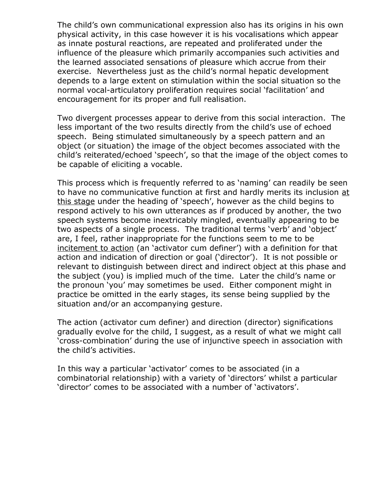The child's own communicational expression also has its origins in his own physical activity, in this case however it is his vocalisations which appear as innate postural reactions, are repeated and proliferated under the influence of the pleasure which primarily accompanies such activities and the learned associated sensations of pleasure which accrue from their exercise. Nevertheless just as the child's normal hepatic development depends to a large extent on stimulation within the social situation so the normal vocal-articulatory proliferation requires social 'facilitation' and encouragement for its proper and full realisation.

Two divergent processes appear to derive from this social interaction. The less important of the two results directly from the child's use of echoed speech. Being stimulated simultaneously by a speech pattern and an object (or situation) the image of the object becomes associated with the child's reiterated/echoed 'speech', so that the image of the object comes to be capable of eliciting a vocable.

This process which is frequently referred to as 'naming' can readily be seen to have no communicative function at first and hardly merits its inclusion at this stage under the heading of 'speech', however as the child begins to respond actively to his own utterances as if produced by another, the two speech systems become inextricably mingled, eventually appearing to be two aspects of a single process. The traditional terms 'verb' and 'object' are, I feel, rather inappropriate for the functions seem to me to be incitement to action (an 'activator cum definer') with a definition for that action and indication of direction or goal ('director'). It is not possible or relevant to distinguish between direct and indirect object at this phase and the subject (you) is implied much of the time. Later the child's name or the pronoun 'you' may sometimes be used. Either component might in practice be omitted in the early stages, its sense being supplied by the situation and/or an accompanying gesture.

The action (activator cum definer) and direction (director) significations gradually evolve for the child, I suggest, as a result of what we might call 'cross-combination' during the use of injunctive speech in association with the child's activities.

In this way a particular 'activator' comes to be associated (in a combinatorial relationship) with a variety of 'directors' whilst a particular 'director' comes to be associated with a number of 'activators'.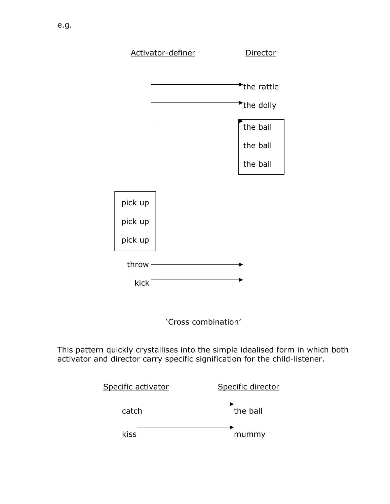

'Cross combination'

This pattern quickly crystallises into the simple idealised form in which both activator and director carry specific signification for the child-listener.

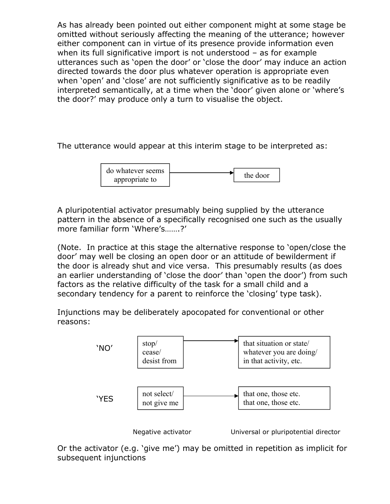As has already been pointed out either component might at some stage be omitted without seriously affecting the meaning of the utterance; however either component can in virtue of its presence provide information even when its full significative import is not understood – as for example utterances such as 'open the door' or 'close the door' may induce an action directed towards the door plus whatever operation is appropriate even when 'open' and 'close' are not sufficiently significative as to be readily interpreted semantically, at a time when the 'door' given alone or 'where's the door?' may produce only a turn to visualise the object.

The utterance would appear at this interim stage to be interpreted as:



A pluripotential activator presumably being supplied by the utterance pattern in the absence of a specifically recognised one such as the usually more familiar form 'Where's…….?'

(Note. In practice at this stage the alternative response to 'open/close the door' may well be closing an open door or an attitude of bewilderment if the door is already shut and vice versa. This presumably results (as does an earlier understanding of 'close the door' than 'open the door') from such factors as the relative difficulty of the task for a small child and a secondary tendency for a parent to reinforce the 'closing' type task).

Injunctions may be deliberately apocopated for conventional or other reasons:



Or the activator (e.g. 'give me') may be omitted in repetition as implicit for subsequent injunctions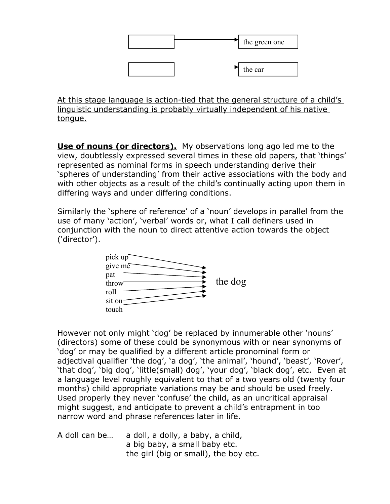

At this stage language is action-tied that the general structure of a child's linguistic understanding is probably virtually independent of his native tongue.

**Use of nouns (or directors).** My observations long ago led me to the view, doubtlessly expressed several times in these old papers, that 'things' represented as nominal forms in speech understanding derive their 'spheres of understanding' from their active associations with the body and with other objects as a result of the child's continually acting upon them in differing ways and under differing conditions.

Similarly the 'sphere of reference' of a 'noun' develops in parallel from the use of many 'action', 'verbal' words or, what I call definers used in conjunction with the noun to direct attentive action towards the object ('director').



However not only might 'dog' be replaced by innumerable other 'nouns' (directors) some of these could be synonymous with or near synonyms of 'dog' or may be qualified by a different article pronominal form or adjectival qualifier 'the dog', 'a dog', 'the animal', 'hound', 'beast', 'Rover', 'that dog', 'big dog', 'little(small) dog', 'your dog', 'black dog', etc. Even at a language level roughly equivalent to that of a two years old (twenty four months) child appropriate variations may be and should be used freely. Used properly they never 'confuse' the child, as an uncritical appraisal might suggest, and anticipate to prevent a child's entrapment in too narrow word and phrase references later in life.

A doll can be… a doll, a dolly, a baby, a child, a big baby, a small baby etc. the girl (big or small), the boy etc.